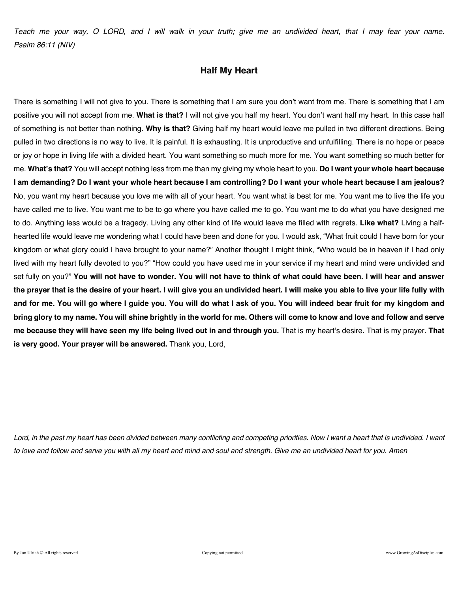*Teach me your way, O LORD, and I will walk in your truth; give me an undivided heart, that I may fear your name. Psalm 86:11 (NIV)* 

### **Half My Heart**

There is something I will not give to you. There is something that I am sure you don't want from me. There is something that I am positive you will not accept from me. **What is that?** I will not give you half my heart. You don't want half my heart. In this case half of something is not better than nothing. **Why is that?** Giving half my heart would leave me pulled in two different directions. Being pulled in two directions is no way to live. It is painful. It is exhausting. It is unproductive and unfulfilling. There is no hope or peace or joy or hope in living life with a divided heart. You want something so much more for me. You want something so much better for me. **What's that?** You will accept nothing less from me than my giving my whole heart to you. **Do I want your whole heart because I am demanding? Do I want your whole heart because I am controlling? Do I want your whole heart because I am jealous?** No, you want my heart because you love me with all of your heart. You want what is best for me. You want me to live the life you have called me to live. You want me to be to go where you have called me to go. You want me to do what you have designed me to do. Anything less would be a tragedy. Living any other kind of life would leave me filled with regrets. **Like what?** Living a halfhearted life would leave me wondering what I could have been and done for you. I would ask, "What fruit could I have born for your kingdom or what glory could I have brought to your name?" Another thought I might think, "Who would be in heaven if I had only lived with my heart fully devoted to you?" "How could you have used me in your service if my heart and mind were undivided and set fully on you?" **You will not have to wonder. You will not have to think of what could have been. I will hear and answer the prayer that is the desire of your heart. I will give you an undivided heart. I will make you able to live your life fully with and for me. You will go where I guide you. You will do what I ask of you. You will indeed bear fruit for my kingdom and bring glory to my name. You will shine brightly in the world for me. Others will come to know and love and follow and serve me because they will have seen my life being lived out in and through you.** That is my heart's desire. That is my prayer. **That is very good. Your prayer will be answered.** Thank you, Lord,

Lord, in the past my heart has been divided between many conflicting and competing priorities. Now I want a heart that is undivided. I want *to love and follow and serve you with all my heart and mind and soul and strength. Give me an undivided heart for you. Amen*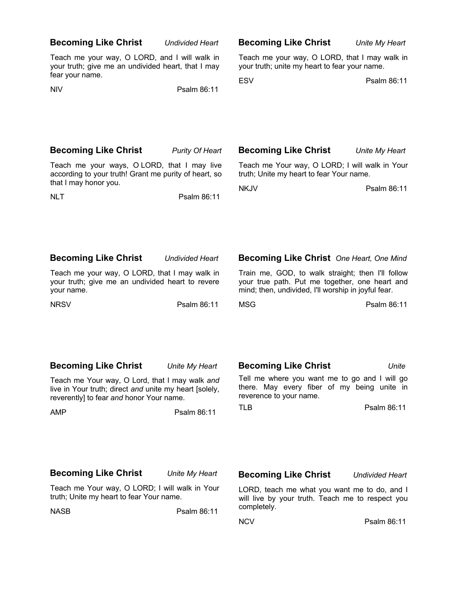| <b>Becoming Like Christ</b>                                                                                                                          | <b>Undivided Heart</b> | <b>Becoming Like Christ</b>                                                                                                                                | Unite My Heart         |
|------------------------------------------------------------------------------------------------------------------------------------------------------|------------------------|------------------------------------------------------------------------------------------------------------------------------------------------------------|------------------------|
| Teach me your way, O LORD, and I will walk in<br>your truth; give me an undivided heart, that I may<br>fear your name.                               |                        | Teach me your way, O LORD, that I may walk in<br>your truth; unite my heart to fear your name.                                                             |                        |
| <b>NIV</b>                                                                                                                                           | Psalm 86:11            | <b>ESV</b>                                                                                                                                                 | Psalm 86:11            |
|                                                                                                                                                      |                        |                                                                                                                                                            |                        |
| <b>Becoming Like Christ</b>                                                                                                                          | <b>Purity Of Heart</b> | <b>Becoming Like Christ</b>                                                                                                                                | Unite My Heart         |
| Teach me your ways, O LORD, that I may live<br>according to your truth! Grant me purity of heart, so<br>that I may honor you.                        |                        | Teach me Your way, O LORD; I will walk in Your<br>truth; Unite my heart to fear Your name.                                                                 |                        |
| <b>NLT</b>                                                                                                                                           | Psalm 86:11            | <b>NKJV</b>                                                                                                                                                | Psalm 86:11            |
| <b>Becoming Like Christ</b>                                                                                                                          | <b>Undivided Heart</b> | <b>Becoming Like Christ</b> One Heart, One Mind                                                                                                            |                        |
| Teach me your way, O LORD, that I may walk in<br>your truth; give me an undivided heart to revere<br>your name.                                      |                        | Train me, GOD, to walk straight; then I'll follow<br>your true path. Put me together, one heart and<br>mind; then, undivided, I'll worship in joyful fear. |                        |
| <b>NRSV</b>                                                                                                                                          | Psalm 86:11            | <b>MSG</b>                                                                                                                                                 | Psalm 86:11            |
| <b>Becoming Like Christ</b>                                                                                                                          | Unite My Heart         | <b>Becoming Like Christ</b>                                                                                                                                | Unite                  |
| Teach me Your way, O Lord, that I may walk and<br>live in Your truth; direct and unite my heart [solely,<br>reverently] to fear and honor Your name. |                        | Tell me where you want me to go and I will go<br>there. May every fiber of my being unite in<br>reverence to your name.                                    |                        |
| <b>AMP</b>                                                                                                                                           | Psalm 86:11            | <b>TLB</b>                                                                                                                                                 | Psalm 86:11            |
|                                                                                                                                                      |                        |                                                                                                                                                            |                        |
| <b>Becoming Like Christ</b>                                                                                                                          | Unite My Heart         | <b>Becoming Like Christ</b>                                                                                                                                | <b>Undivided Heart</b> |
| Teach me Your way, O LORD; I will walk in Your<br>truth; Unite my heart to fear Your name.                                                           |                        | LORD, teach me what you want me to do, and I<br>will live by your truth. Teach me to respect you                                                           |                        |
| <b>NASB</b>                                                                                                                                          | Psalm 86:11            | completely.                                                                                                                                                |                        |

NCV Psalm 86:11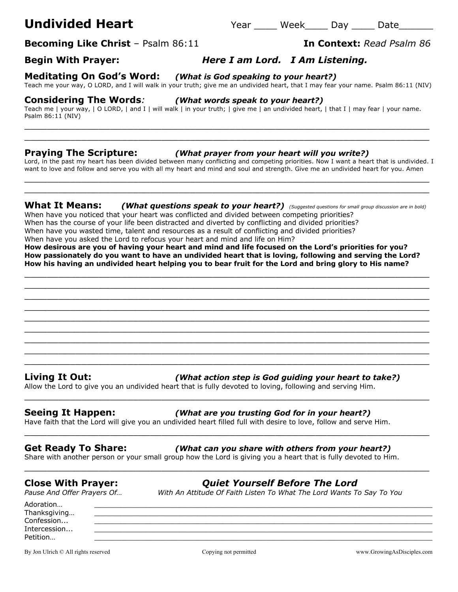# **Undivided Heart Year** Week Day Date

**Becoming Like Christ** – Psalm 86:11 **In Context:** *Read Psalm 86*

## **Begin With Prayer:** *Here I am Lord. I Am Listening.*

**Meditating On God's Word:** *(What is God speaking to your heart?)*

Teach me your way, O LORD, and I will walk in your truth; give me an undivided heart, that I may fear your name. Psalm 86:11 (NIV)

### **Considering The Words***: (What words speak to your heart?)*

Teach me | your way, | O LORD, | and I | will walk | in your truth; | give me | an undivided heart, | that I | may fear | your name. Psalm 86:11 (NIV)

\_\_\_\_\_\_\_\_\_\_\_\_\_\_\_\_\_\_\_\_\_\_\_\_\_\_\_\_\_\_\_\_\_\_\_\_\_\_\_\_\_\_\_\_\_\_\_\_\_\_\_\_\_\_\_\_\_\_\_\_\_\_\_\_\_\_\_\_\_\_\_ \_\_\_\_\_\_\_\_\_\_\_\_\_\_\_\_\_\_\_\_\_\_\_\_\_\_\_\_\_\_\_\_\_\_\_\_\_\_\_\_\_\_\_\_\_\_\_\_\_\_\_\_\_\_\_\_\_\_\_\_\_\_\_\_\_\_\_\_\_\_\_

### **Praying The Scripture:** *(What prayer from your heart will you write?)*

Lord, in the past my heart has been divided between many conflicting and competing priorities. Now I want a heart that is undivided. I want to love and follow and serve you with all my heart and mind and soul and strength. Give me an undivided heart for you. Amen \_\_\_\_\_\_\_\_\_\_\_\_\_\_\_\_\_\_\_\_\_\_\_\_\_\_\_\_\_\_\_\_\_\_\_\_\_\_\_\_\_\_\_\_\_\_\_\_\_\_\_\_\_\_\_\_\_\_\_\_\_\_\_\_\_\_\_\_\_\_\_

**What It Means:** *(What questions speak to your heart?) (Suggested questions for small group discussion are in bold)*

 $\_$  , and the set of the set of the set of the set of the set of the set of the set of the set of the set of the set of the set of the set of the set of the set of the set of the set of the set of the set of the set of th

When have you noticed that your heart was conflicted and divided between competing priorities? When has the course of your life been distracted and diverted by conflicting and divided priorities? When have you wasted time, talent and resources as a result of conflicting and divided priorities?

When have you asked the Lord to refocus your heart and mind and life on Him?

**How desirous are you of having your heart and mind and life focused on the Lord's priorities for you?**

**How passionately do you want to have an undivided heart that is loving, following and serving the Lord? How his having an undivided heart helping you to bear fruit for the Lord and bring glory to His name?**

\_\_\_\_\_\_\_\_\_\_\_\_\_\_\_\_\_\_\_\_\_\_\_\_\_\_\_\_\_\_\_\_\_\_\_\_\_\_\_\_\_\_\_\_\_\_\_\_\_\_\_\_\_\_\_\_\_\_\_\_\_\_\_\_\_\_\_\_\_\_\_ \_\_\_\_\_\_\_\_\_\_\_\_\_\_\_\_\_\_\_\_\_\_\_\_\_\_\_\_\_\_\_\_\_\_\_\_\_\_\_\_\_\_\_\_\_\_\_\_\_\_\_\_\_\_\_\_\_\_\_\_\_\_\_\_\_\_\_\_\_\_\_ \_\_\_\_\_\_\_\_\_\_\_\_\_\_\_\_\_\_\_\_\_\_\_\_\_\_\_\_\_\_\_\_\_\_\_\_\_\_\_\_\_\_\_\_\_\_\_\_\_\_\_\_\_\_\_\_\_\_\_\_\_\_\_\_\_\_\_\_\_\_\_ \_\_\_\_\_\_\_\_\_\_\_\_\_\_\_\_\_\_\_\_\_\_\_\_\_\_\_\_\_\_\_\_\_\_\_\_\_\_\_\_\_\_\_\_\_\_\_\_\_\_\_\_\_\_\_\_\_\_\_\_\_\_\_\_\_\_\_\_\_\_\_  $\_$  , and the set of the set of the set of the set of the set of the set of the set of the set of the set of the set of the set of the set of the set of the set of the set of the set of the set of the set of the set of th \_\_\_\_\_\_\_\_\_\_\_\_\_\_\_\_\_\_\_\_\_\_\_\_\_\_\_\_\_\_\_\_\_\_\_\_\_\_\_\_\_\_\_\_\_\_\_\_\_\_\_\_\_\_\_\_\_\_\_\_\_\_\_\_\_\_\_\_\_\_\_ \_\_\_\_\_\_\_\_\_\_\_\_\_\_\_\_\_\_\_\_\_\_\_\_\_\_\_\_\_\_\_\_\_\_\_\_\_\_\_\_\_\_\_\_\_\_\_\_\_\_\_\_\_\_\_\_\_\_\_\_\_\_\_\_\_\_\_\_\_\_\_ \_\_\_\_\_\_\_\_\_\_\_\_\_\_\_\_\_\_\_\_\_\_\_\_\_\_\_\_\_\_\_\_\_\_\_\_\_\_\_\_\_\_\_\_\_\_\_\_\_\_\_\_\_\_\_\_\_\_\_\_\_\_\_\_\_\_\_\_\_\_\_ \_\_\_\_\_\_\_\_\_\_\_\_\_\_\_\_\_\_\_\_\_\_\_\_\_\_\_\_\_\_\_\_\_\_\_\_\_\_\_\_\_\_\_\_\_\_\_\_\_\_\_\_\_\_\_\_\_\_\_\_\_\_\_\_\_\_\_\_\_\_\_

\_\_\_\_\_\_\_\_\_\_\_\_\_\_\_\_\_\_\_\_\_\_\_\_\_\_\_\_\_\_\_\_\_\_\_\_\_\_\_\_\_\_\_\_\_\_\_\_\_\_\_\_\_\_\_\_\_\_\_\_\_\_\_\_\_\_\_\_\_\_\_

\_\_\_\_\_\_\_\_\_\_\_\_\_\_\_\_\_\_\_\_\_\_\_\_\_\_\_\_\_\_\_\_\_\_\_\_\_\_\_\_\_\_\_\_\_\_\_\_\_\_\_\_\_\_\_\_\_\_\_\_\_\_\_\_\_\_\_\_\_\_\_

\_\_\_\_\_\_\_\_\_\_\_\_\_\_\_\_\_\_\_\_\_\_\_\_\_\_\_\_\_\_\_\_\_\_\_\_\_\_\_\_\_\_\_\_\_\_\_\_\_\_\_\_\_\_\_\_\_\_\_\_\_\_\_\_\_\_\_\_\_\_\_

Adoration… \_\_\_\_\_\_\_\_\_\_\_\_\_\_\_\_\_\_\_\_\_\_\_\_\_\_\_\_\_\_\_\_\_\_\_\_\_\_\_\_\_\_\_\_\_\_\_\_\_\_\_\_\_\_\_\_\_\_\_\_\_\_\_\_\_\_\_\_\_\_\_\_\_\_\_\_\_\_\_

Confession... \_\_\_\_\_\_\_\_\_\_\_\_\_\_\_\_\_\_\_\_\_\_\_\_\_\_\_\_\_\_\_\_\_\_\_\_\_\_\_\_\_\_\_\_\_\_\_\_\_\_\_\_\_\_\_\_\_\_\_\_\_\_\_\_\_\_\_\_\_\_\_\_\_\_\_\_\_\_\_

### **Living It Out:** *(What action step is God guiding your heart to take?)*

Allow the Lord to give you an undivided heart that is fully devoted to loving, following and serving Him.

### **Seeing It Happen:** *(What are you trusting God for in your heart?)*

Have faith that the Lord will give you an undivided heart filled full with desire to love, follow and serve Him.

### **Get Ready To Share:** *(What can you share with others from your heart?)*

Share with another person or your small group how the Lord is giving you a heart that is fully devoted to Him.

*Pause And Offer Prayers Of… With An Attitude Of Faith Listen To What The Lord Wants To Say To You*

**Close With Prayer:** *Quiet Yourself Before The Lord*

Petition… \_\_\_\_\_\_\_\_\_\_\_\_\_\_\_\_\_\_\_\_\_\_\_\_\_\_\_\_\_\_\_\_\_\_\_\_\_\_\_\_\_\_\_\_\_\_\_\_\_\_\_\_\_\_\_\_\_\_\_\_\_\_\_\_\_\_\_\_\_\_\_\_\_\_\_\_\_\_\_

Thanksgiving...

Intercession...

By Jon Ulrich © All rights reserved compared copying not permitted www.GrowingAsDisciples.com